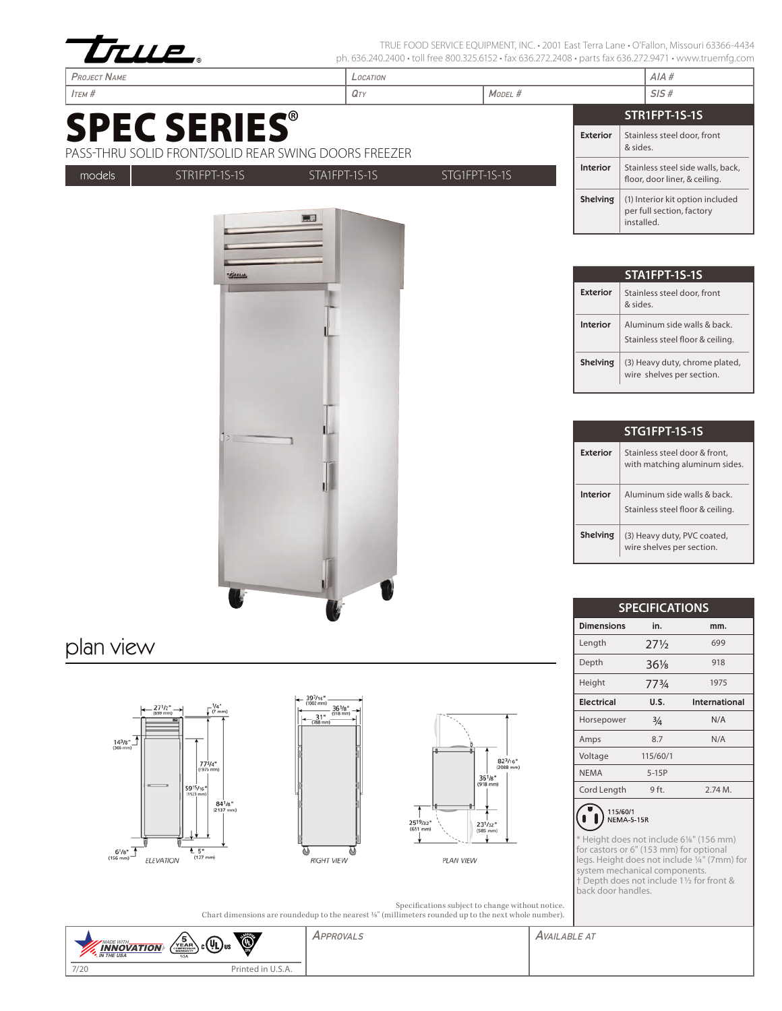









Depth

Height

Amps

**NEMA** 

 $\overline{\phantom{a}}$ 

 $\blacksquare$ 

Voltage

**Electrical** 

Horsepower

Cord Length

115/60/1<br>NEMA-5-15R

back door handles.

 $36\frac{1}{8}$ 

 $77<sup>3</sup>/<sub>4</sub>$ 

 $U.S.$ 

 $\frac{3}{4}$ 

 $8.7$ 

115/60/1

 $5-15P$ 

 $9$  ft.

Height does not include 6%" (156 mm) for castors or 6" (153 mm) for optional

legs. Height does not include 1/4" (7mm) for system mechanical components. t Depth does not include 11/2 for front &

918

1975

International

 $N/A$ 

 $N/A$ 

 $2.74M$ .

PLAN VIEW

Specifications subject to change without notice. Chart dimensions are roundedup to the nearest 1/8" (millimeters rounded up to the next whole number).

| $\left\langle \frac{1}{2} \frac{\text{S}}{\text{S}} \text{S} \right\rangle$ c $\left( \text{UL} \right)$ us<br><b>INNOVATION</b><br><b>M</b> . IN THE USA<br><b>USA</b> | ۱                      | APPROVALS | Available at |
|-------------------------------------------------------------------------------------------------------------------------------------------------------------------------|------------------------|-----------|--------------|
| 7/20                                                                                                                                                                    | Printed in<br>. U.J.A. |           |              |